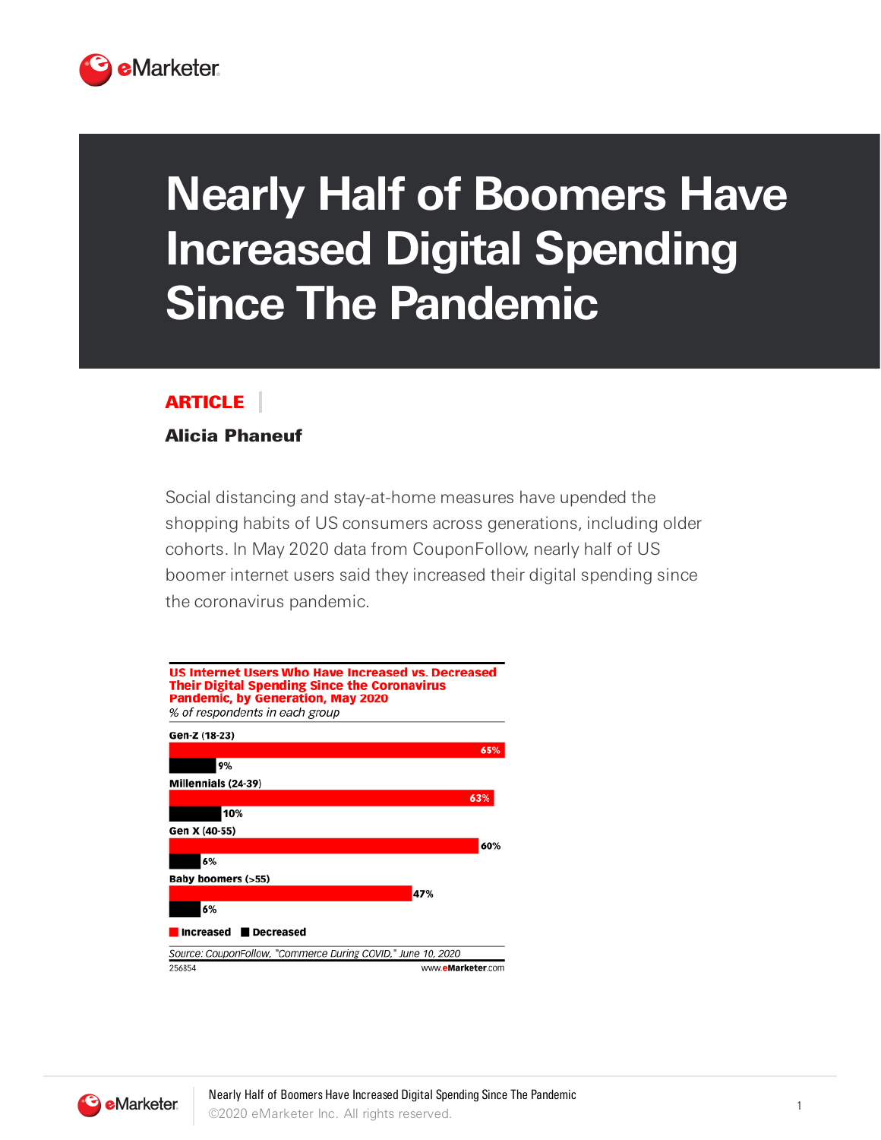

## **Nearly Half of Boomers Have Increased Digital Spending Since The Pandemic**

## ARTICLE

## Alicia Phaneuf

Social distancing and stay-at-home measures have upended the shopping habits of US consumers across generations, including older cohorts. In May 2020 data from CouponFollow, nearly half of US boomer internet users said they increased their digital spending since the coronavirus pandemic.